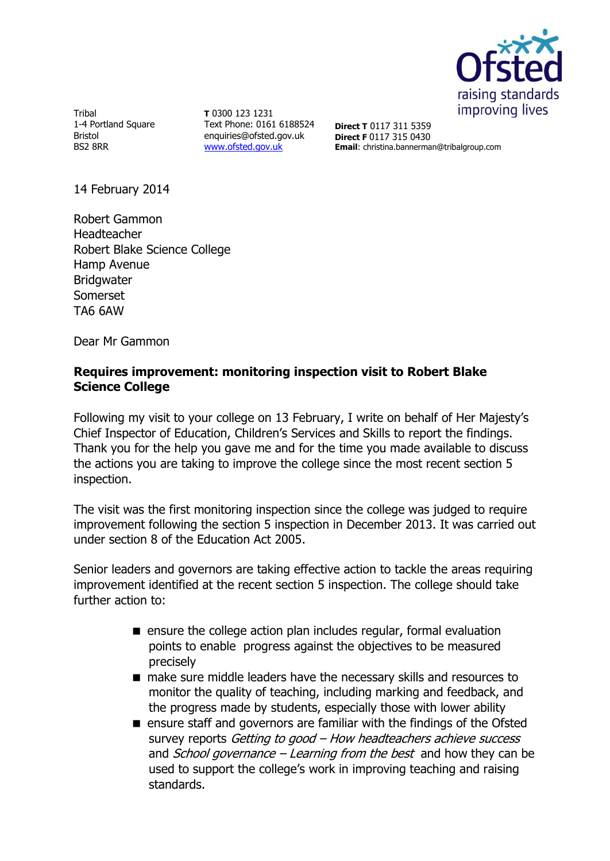

Tribal 1-4 Portland Square Bristol BS2 8RR

**T** 0300 123 1231 Text Phone: 0161 6188524 enquiries@ofsted.gov.uk [www.ofsted.gov.uk](http://www.ofsted.gov.uk/)

**Direct T** 0117 311 5359 **Direct F** 0117 315 0430 **Email**: christina.bannerman@tribalgroup.com

14 February 2014

Robert Gammon Headteacher Robert Blake Science College Hamp Avenue **Bridgwater** Somerset TA6 6AW

Dear Mr Gammon

# **Requires improvement: monitoring inspection visit to Robert Blake Science College**

Following my visit to your college on 13 February, I write on behalf of Her Majesty's Chief Inspector of Education, Children's Services and Skills to report the findings. Thank you for the help you gave me and for the time you made available to discuss the actions you are taking to improve the college since the most recent section 5 inspection.

The visit was the first monitoring inspection since the college was judged to require improvement following the section 5 inspection in December 2013. It was carried out under section 8 of the Education Act 2005.

Senior leaders and governors are taking effective action to tackle the areas requiring improvement identified at the recent section 5 inspection. The college should take further action to:

- **E** ensure the college action plan includes regular, formal evaluation points to enable progress against the objectives to be measured precisely
- make sure middle leaders have the necessary skills and resources to monitor the quality of teaching, including marking and feedback, and the progress made by students, especially those with lower ability
- ensure staff and governors are familiar with the findings of the Ofsted survey reports Getting to good – How headteachers achieve success and *School governance – Learning from the best* and how they can be used to support the college's work in improving teaching and raising standards.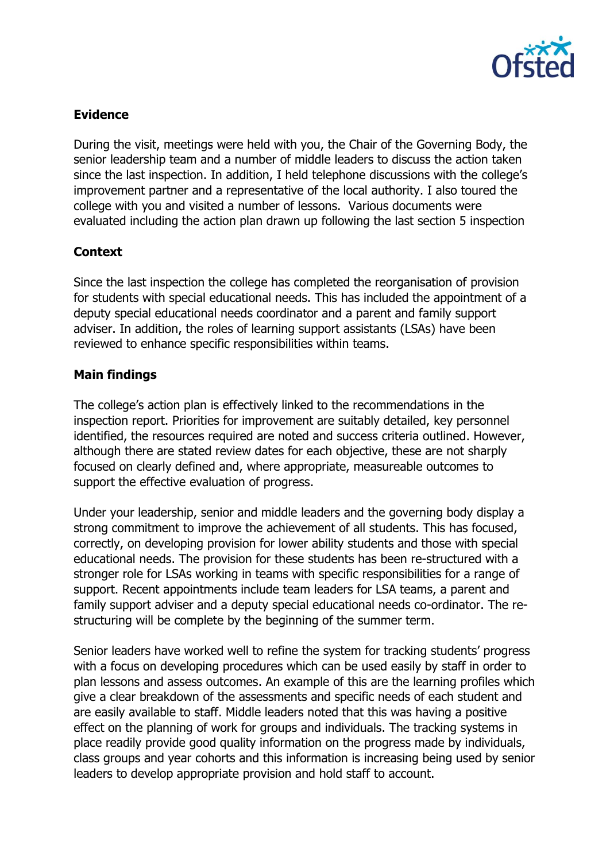

# **Evidence**

During the visit, meetings were held with you, the Chair of the Governing Body, the senior leadership team and a number of middle leaders to discuss the action taken since the last inspection. In addition, I held telephone discussions with the college's improvement partner and a representative of the local authority. I also toured the college with you and visited a number of lessons. Various documents were evaluated including the action plan drawn up following the last section 5 inspection

# **Context**

Since the last inspection the college has completed the reorganisation of provision for students with special educational needs. This has included the appointment of a deputy special educational needs coordinator and a parent and family support adviser. In addition, the roles of learning support assistants (LSAs) have been reviewed to enhance specific responsibilities within teams.

# **Main findings**

The college's action plan is effectively linked to the recommendations in the inspection report. Priorities for improvement are suitably detailed, key personnel identified, the resources required are noted and success criteria outlined. However, although there are stated review dates for each objective, these are not sharply focused on clearly defined and, where appropriate, measureable outcomes to support the effective evaluation of progress.

Under your leadership, senior and middle leaders and the governing body display a strong commitment to improve the achievement of all students. This has focused, correctly, on developing provision for lower ability students and those with special educational needs. The provision for these students has been re-structured with a stronger role for LSAs working in teams with specific responsibilities for a range of support. Recent appointments include team leaders for LSA teams, a parent and family support adviser and a deputy special educational needs co-ordinator. The restructuring will be complete by the beginning of the summer term.

Senior leaders have worked well to refine the system for tracking students' progress with a focus on developing procedures which can be used easily by staff in order to plan lessons and assess outcomes. An example of this are the learning profiles which give a clear breakdown of the assessments and specific needs of each student and are easily available to staff. Middle leaders noted that this was having a positive effect on the planning of work for groups and individuals. The tracking systems in place readily provide good quality information on the progress made by individuals, class groups and year cohorts and this information is increasing being used by senior leaders to develop appropriate provision and hold staff to account.